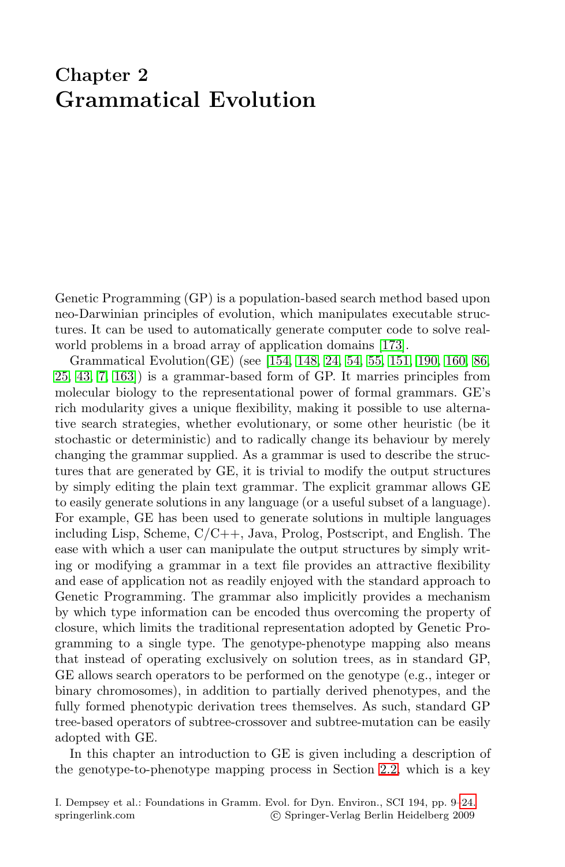# **Chapter 2 Grammatical Evolution**

Genetic Programming (GP) is a population-based search method based upon neo-Darwinian principles of evolution, which manipulates executable structures. It can be used to automatically generate computer code to solve realworld problems in a broad array of application domains [173].

Grammatical Evolution(GE) (see [154, 148, 24, 54, 55, 151, 190, 160, 86, 25, 43, 7, 163]) is a grammar-based form of GP. It marries principles from molecular biology to the representational power of formal grammars. GE's rich modularity gives a unique flexibility, making it possible to use alternative search strategies, whether evolutionary, or some other heuristic (be it stochastic or deterministic) and to radically change its behaviour by merely changing the grammar supplied. As a grammar is used to describe the structures that are generated by GE, it is trivial to modify the output structures by simply editing the plain text grammar. The explicit grammar allows GE to easily generate solutions in any language (or a useful subset of a language). For example, GE has been used to generate solutions in multiple languages including Lisp, Scheme,  $C/C++$ , Java, Prolog, Postscript, and English. The ease with which a user can manipulate the output structures by simply writing or modifying a grammar in a text file provides an attractive flexibility and ease of application not as readily enjoyed with the standard approach to Genetic Programming. The grammar also implicitly provides a mechanism by which type information can be encoded thus overcoming the property of closure, which limits the traditional representation adopted by Genetic Programming to a single type. The genotype-phenotype mapping also means that instead of operating exclusively on solution trees, as in standard GP, GE allows search operators to be performed on the genotype (e.g., integer or binary chromosomes), in addition to partially derived phenotypes, and the fully formed phenotypic derivation trees themselves. As such, standard GP tree-based operators of subtree-crossover and subtree-mutation can be easily adopted with GE.

In this chapter an introduction to GE is given including a description of the genotype-to-phenotype mapping process in Section 2.2, which is a key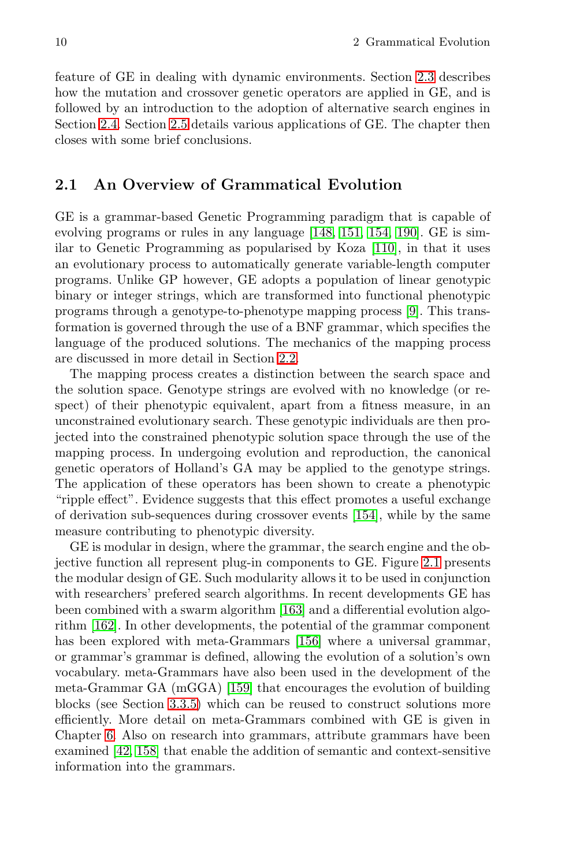feature of GE in dealing with dynamic environments. Section 2.3 describes how the mutation and crossover genetic operators are applied in GE, and is followed by an introduction to the adoption of alternative search engines in Section 2.4. Section 2.5 details various applications of GE. The chapter then closes with some brief conclusions.

#### **2.1 An Overview of Grammatical Evolution**

GE is a grammar-based Genetic Programming paradigm that is capable of evolving programs or rules in any language [148, 151, 154, 190]. GE is similar to Genetic Programming as popularised by Koza [110], in that it uses an evolutionary process to automatically generate variable-length computer programs. Unlike GP however, GE adopts a population of linear genotypic binary or integer strings, which are transformed into functional phenotypic programs through a genotype-to-phenotype mapping process [9]. This transformation is governed through the use of a BNF grammar, which specifies the language of the produced solutions. The mechanics of the mapping process are discussed in more detail in Section 2.2.

The mapping process creates a distinction between the search space and the solution space. Genotype strings are evolved with no knowledge (or respect) of their phenotypic equivalent, apart from a fitness measure, in an unconstrained evolutionary search. These genotypic individuals are then projected into the constrained phenotypic solution space through the use of the mapping process. In undergoing evolution and reproduction, the canonical genetic operators of Holland's GA may be applied to the genotype strings. The application of these operators has been shown to create a phenotypic "ripple effect". Evidence suggests that this effect promotes a useful exchange of derivation sub-sequences during crossover events [154], while by the same measure contributing to phenotypic diversity.

GE is modular in design, where the grammar, the search engine and the objective function all represent plug-in components to GE. Figure 2.1 presents the modular design of GE. Such modularity allows it to be used in conjunction with researchers' prefered search algorithms. In recent developments GE has been combined with a swarm algorithm [163] and a differential evolution algorithm [162]. In other developments, the potential of the grammar component has been explored with meta-Grammars [156] where a universal grammar, or grammar's grammar is defined, allowing the evolution of a solution's own vocabulary. meta-Grammars have also been used in the development of the meta-Grammar GA (mGGA) [159] that encourages the evolution of building blocks (see Section 3.3.5) which can be reused to construct solutions more efficiently. More detail on meta-Grammars combined with GE is given in Chapter 6. Also on research into grammars, attribute grammars have been examined [42, 158] that enable the addition of semantic and context-sensitive information into the grammars.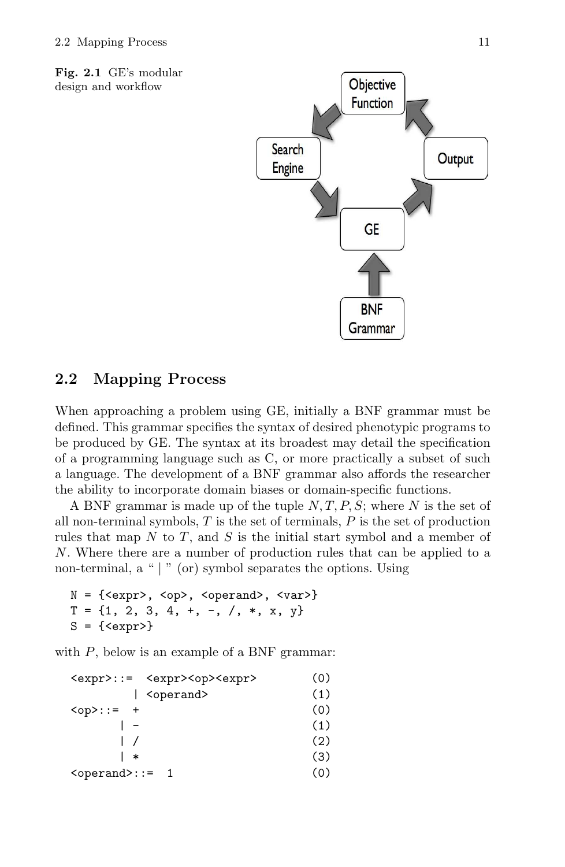



# **2.2 Mapping Process**

When approaching a problem using GE, initially a BNF grammar must be defined. This grammar specifies the syntax of desired phenotypic programs to be produced by GE. The syntax at its broadest may detail the specification of a programming language such as C, or more practically a subset of such a language. The development of a BNF grammar also affords the researcher the ability to incorporate domain biases or domain-specific functions.

A BNF grammar is made up of the tuple  $N, T, P, S$ ; where N is the set of all non-terminal symbols,  $T$  is the set of terminals,  $P$  is the set of production rules that map  $N$  to  $T$ , and  $S$  is the initial start symbol and a member of N. Where there are a number of production rules that can be applied to a non-terminal, a " *|* " (or) symbol separates the options. Using

```
N = {\text{<expr>}}, \text{<op>}, \text{<operator>open}, <var>}
T = \{1, 2, 3, 4, +, -, /, *, x, y\}S = \{<expr>\}
```
with  $P$ , below is an example of a BNF grammar:

|              | $\langle \text{expr} \rangle$ ::= $\langle \text{expr} \rangle$ $\langle \text{opp} \rangle$ | (0) |
|--------------|----------------------------------------------------------------------------------------------|-----|
|              | <operand></operand>                                                                          | (1) |
| $<$ op>::= + |                                                                                              | (0) |
|              |                                                                                              | (1) |
|              |                                                                                              | (2) |
| -∗           |                                                                                              | (3) |
| $\text{$     |                                                                                              | (0) |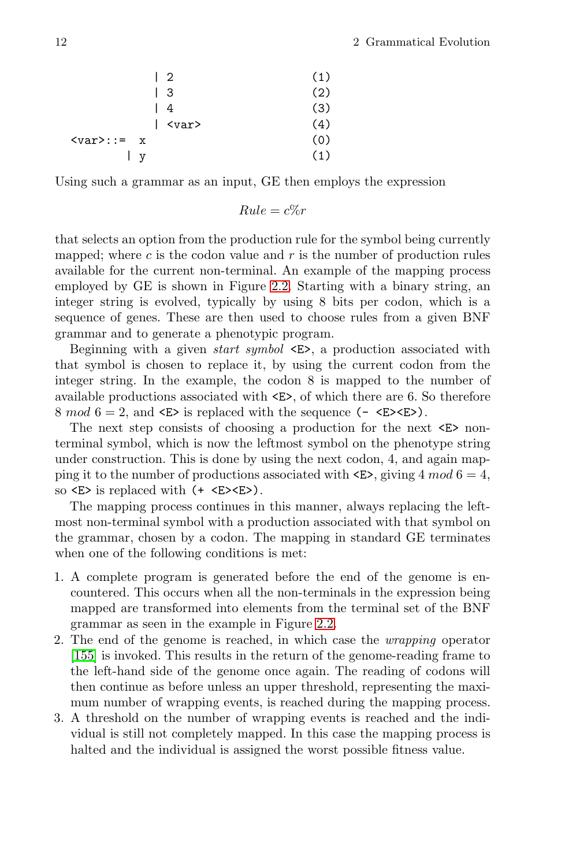|                             | $\frac{1}{2}$       | (1) |
|-----------------------------|---------------------|-----|
|                             | $\vert$ 3           | (2) |
|                             | 4                   | (3) |
|                             | $\vert$ <var></var> | (4) |
| $\langle var \rangle$ ::= x |                     | (0) |
| V                           |                     | (1) |

Using such a grammar as an input, GE then employs the expression

 $Rule = c\%r$ 

that selects an option from the production rule for the symbol being currently mapped; where c is the codon value and r is the number of production rules available for the current non-terminal. An example of the mapping process employed by GE is shown in Figure 2.2. Starting with a binary string, an integer string is evolved, typically by using 8 bits per codon, which is a sequence of genes. These are then used to choose rules from a given BNF grammar and to generate a phenotypic program.

Beginning with a given *start symbol*  $\langle E \rangle$ , a production associated with that symbol is chosen to replace it, by using the current codon from the integer string. In the example, the codon 8 is mapped to the number of available productions associated with  $\leq$   $\geq$ , of which there are 6. So therefore 8 mod 6 = 2, and  $\langle E \rangle$  is replaced with the sequence (-  $\langle E \rangle \langle E \rangle$ ).

The next step consists of choosing a production for the next  $\langle E \rangle$  nonterminal symbol, which is now the leftmost symbol on the phenotype string under construction. This is done by using the next codon, 4, and again mapping it to the number of productions associated with  $\leq$ . giving 4 mod 6 = 4, so  $\langle E \rangle$  is replaced with  $(+ \langle E \rangle \langle E \rangle)$ .

The mapping process continues in this manner, always replacing the leftmost non-terminal symbol with a production associated with that symbol on the grammar, chosen by a codon. The mapping in standard GE terminates when one of the following conditions is met:

- 1. A complete program is generated before the end of the genome is encountered. This occurs when all the non-terminals in the expression being mapped are transformed into elements from the terminal set of the BNF grammar as seen in the example in Figure 2.2.
- 2. The end of the genome is reached, in which case the wrapping operator [155] is invoked. This results in the return of the genome-reading frame to the left-hand side of the genome once again. The reading of codons will then continue as before unless an upper threshold, representing the maximum number of wrapping events, is reached during the mapping process.
- 3. A threshold on the number of wrapping events is reached and the individual is still not completely mapped. In this case the mapping process is halted and the individual is assigned the worst possible fitness value.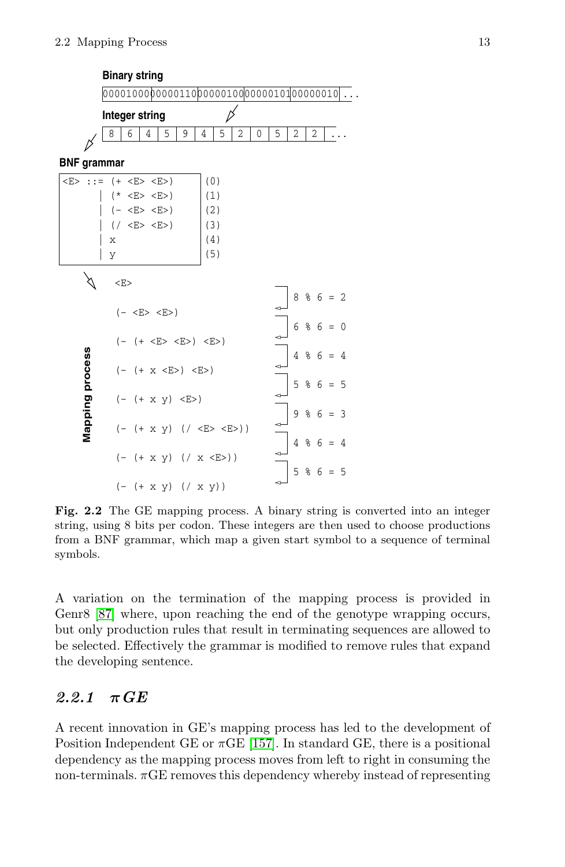

Fig. 2.2 The GE mapping process. A binary string is converted into an integer string, using 8 bits per codon. These integers are then used to choose productions from a BNF grammar, which map a given start symbol to a sequence of terminal symbols.

A variation on the termination of the mapping process is provided in Genr8 [87] where, upon reaching the end of the genotype wrapping occurs, but only production rules that result in terminating sequences are allowed to be selected. Effectively the grammar is modified to remove rules that expand the developing sentence.

### *2.2.1 πGE*

A recent innovation in GE's mapping process has led to the development of Position Independent GE or  $\pi$ GE [157]. In standard GE, there is a positional dependency as the mapping process moves from left to right in consuming the non-terminals.  $\pi$ GE removes this dependency whereby instead of representing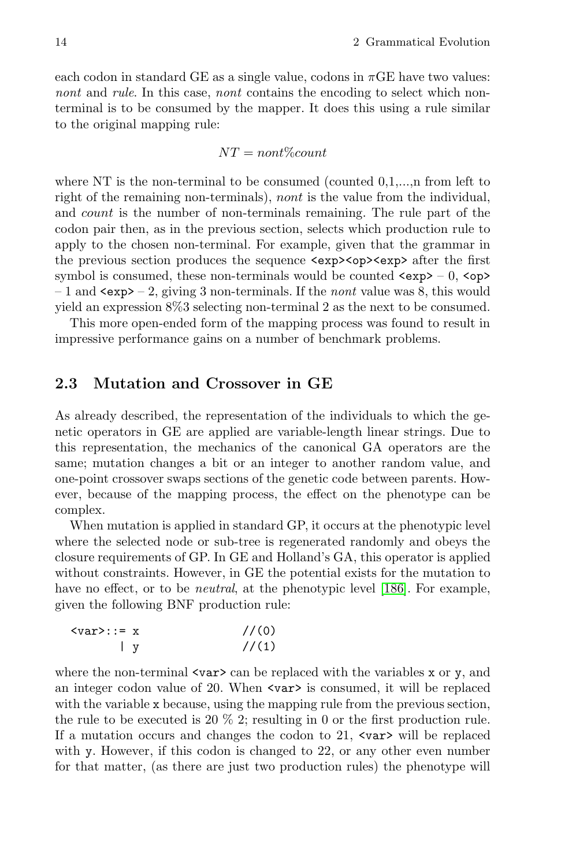each codon in standard GE as a single value, codons in  $\pi$ GE have two values: nont and rule. In this case, nont contains the encoding to select which nonterminal is to be consumed by the mapper. It does this using a rule similar to the original mapping rule:

#### $NT = nont\%count$

where  $NT$  is the non-terminal to be consumed (counted  $0,1,...,n$  from left to right of the remaining non-terminals), nont is the value from the individual, and count is the number of non-terminals remaining. The rule part of the codon pair then, as in the previous section, selects which production rule to apply to the chosen non-terminal. For example, given that the grammar in the previous section produces the sequence  $\langle \exp \rangle$   $\langle \exp \rangle$  after the first symbol is consumed, these non-terminals would be counted  $\langle \exp \rangle - 0$ ,  $\langle \exp \rangle$  $-1$  and  $\langle \exp \rangle - 2$ , giving 3 non-terminals. If the *nont* value was 8, this would yield an expression 8%3 selecting non-terminal 2 as the next to be consumed.

This more open-ended form of the mapping process was found to result in impressive performance gains on a number of benchmark problems.

### **2.3 Mutation and Crossover in GE**

As already described, the representation of the individuals to which the genetic operators in GE are applied are variable-length linear strings. Due to this representation, the mechanics of the canonical GA operators are the same; mutation changes a bit or an integer to another random value, and one-point crossover swaps sections of the genetic code between parents. However, because of the mapping process, the effect on the phenotype can be complex.

When mutation is applied in standard GP, it occurs at the phenotypic level where the selected node or sub-tree is regenerated randomly and obeys the closure requirements of GP. In GE and Holland's GA, this operator is applied without constraints. However, in GE the potential exists for the mutation to have no effect, or to be *neutral*, at the phenotypic level [186]. For example, given the following BNF production rule:

$$
\begin{array}{ccc}\n\text{var} & \cdot & \cdot & = x \\
\mid & y & & \text{if } \\
\end{array}
$$

where the non-terminal  $\langle \text{var} \rangle$  can be replaced with the variables x or y, and an integer codon value of 20. When  $\langle \text{var} \rangle$  is consumed, it will be replaced with the variable x because, using the mapping rule from the previous section, the rule to be executed is 20  $\%$  2; resulting in 0 or the first production rule. If a mutation occurs and changes the codon to 21,  $\langle \text{var} \rangle$  will be replaced with y. However, if this codon is changed to 22, or any other even number for that matter, (as there are just two production rules) the phenotype will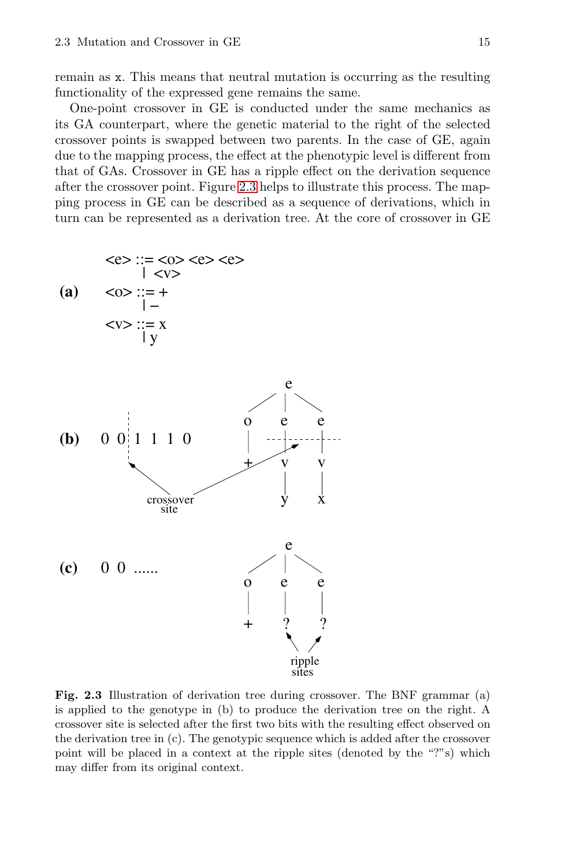remain as x. This means that neutral mutation is occurring as the resulting functionality of the expressed gene remains the same.

One-point crossover in GE is conducted under the same mechanics as its GA counterpart, where the genetic material to the right of the selected crossover points is swapped between two parents. In the case of GE, again due to the mapping process, the effect at the phenotypic level is different from that of GAs. Crossover in GE has a ripple effect on the derivation sequence after the crossover point. Figure 2.3 helps to illustrate this process. The mapping process in GE can be described as a sequence of derivations, which in turn can be represented as a derivation tree. At the core of crossover in GE



**Fig. 2.3** Illustration of derivation tree during crossover. The BNF grammar (a) is applied to the genotype in (b) to produce the derivation tree on the right. A crossover site is selected after the first two bits with the resulting effect observed on the derivation tree in (c). The genotypic sequence which is added after the crossover point will be placed in a context at the ripple sites (denoted by the "?"s) which may differ from its original context.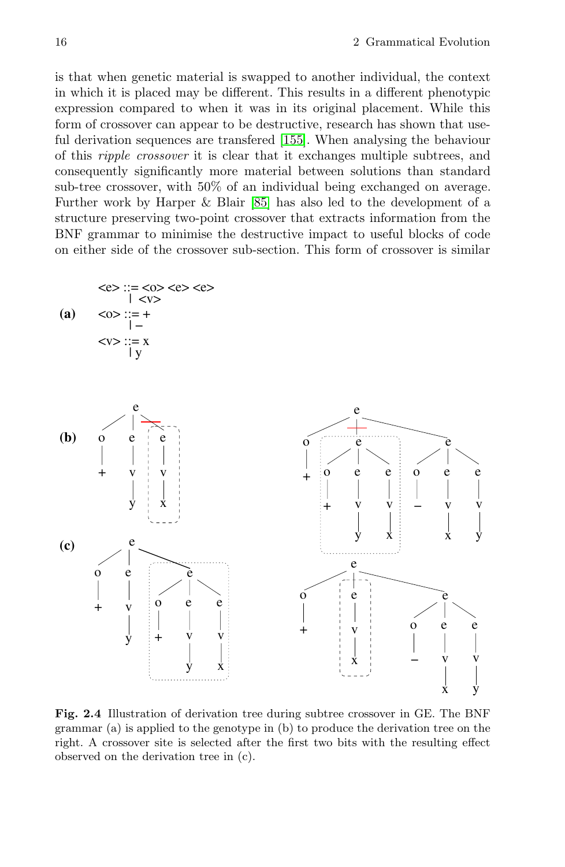is that when genetic material is swapped to another individual, the context in which it is placed may be different. This results in a different phenotypic expression compared to when it was in its original placement. While this form of crossover can appear to be destructive, research has shown that useful derivation sequences are transfered [155]. When analysing the behaviour of this ripple crossover it is clear that it exchanges multiple subtrees, and consequently significantly more material between solutions than standard sub-tree crossover, with 50% of an individual being exchanged on average. Further work by Harper & Blair [85] has also led to the development of a structure preserving two-point crossover that extracts information from the BNF grammar to minimise the destructive impact to useful blocks of code on either side of the crossover sub-section. This form of crossover is similar

$$
\langle e \rangle ::= \langle 0 \rangle \langle e \rangle \langle e \rangle
$$
  
\n
$$
|\langle v \rangle
$$
  
\n(a) 
$$
\langle 0 \rangle ::= +
$$
  
\n
$$
|\langle v \rangle ::= x
$$
  
\n
$$
|y|
$$



**Fig. 2.4** Illustration of derivation tree during subtree crossover in GE. The BNF grammar (a) is applied to the genotype in (b) to produce the derivation tree on the right. A crossover site is selected after the first two bits with the resulting effect observed on the derivation tree in (c).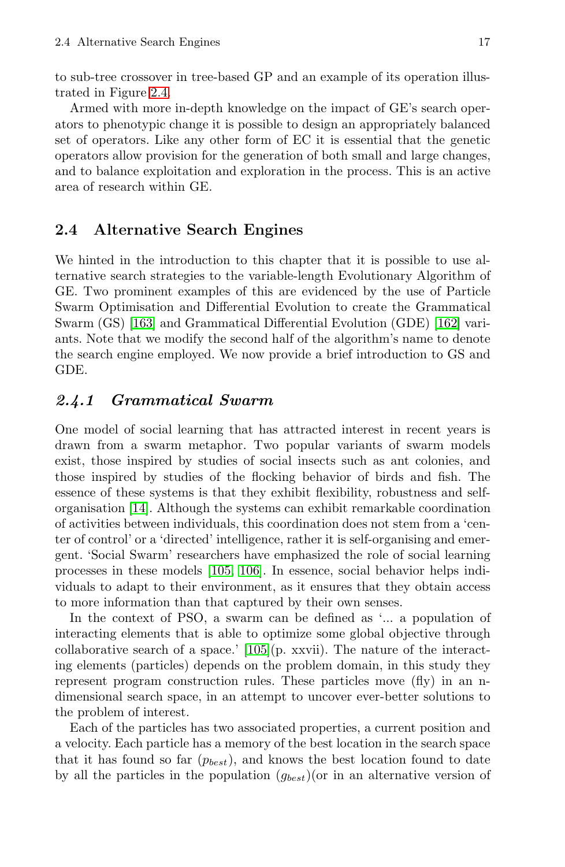to sub-tree crossover in tree-based GP and an example of its operation illustrated in Figure 2.4.

Armed with more in-depth knowledge on the impact of GE's search operators to phenotypic change it is possible to design an appropriately balanced set of operators. Like any other form of EC it is essential that the genetic operators allow provision for the generation of both small and large changes, and to balance exploitation and exploration in the process. This is an active area of research within GE.

# **2.4 Alternative Search Engines**

We hinted in the introduction to this chapter that it is possible to use alternative search strategies to the variable-length Evolutionary Algorithm of GE. Two prominent examples of this are evidenced by the use of Particle Swarm Optimisation and Differential Evolution to create the Grammatical Swarm (GS) [163] and Grammatical Differential Evolution (GDE) [162] variants. Note that we modify the second half of the algorithm's name to denote the search engine employed. We now provide a brief introduction to GS and GDE.

## *2.4.1 Grammatical Swarm*

One model of social learning that has attracted interest in recent years is drawn from a swarm metaphor. Two popular variants of swarm models exist, those inspired by studies of social insects such as ant colonies, and those inspired by studies of the flocking behavior of birds and fish. The essence of these systems is that they exhibit flexibility, robustness and selforganisation [14]. Although the systems can exhibit remarkable coordination of activities between individuals, this coordination does not stem from a 'center of control' or a 'directed' intelligence, rather it is self-organising and emergent. 'Social Swarm' researchers have emphasized the role of social learning processes in these models [105, 106]. In essence, social behavior helps individuals to adapt to their environment, as it ensures that they obtain access to more information than that captured by their own senses.

In the context of PSO, a swarm can be defined as '... a population of interacting elements that is able to optimize some global objective through collaborative search of a space.'  $[105]$ (p. xxvii). The nature of the interacting elements (particles) depends on the problem domain, in this study they represent program construction rules. These particles move (fly) in an ndimensional search space, in an attempt to uncover ever-better solutions to the problem of interest.

Each of the particles has two associated properties, a current position and a velocity. Each particle has a memory of the best location in the search space that it has found so far (p*best*), and knows the best location found to date by all the particles in the population (g*best*)(or in an alternative version of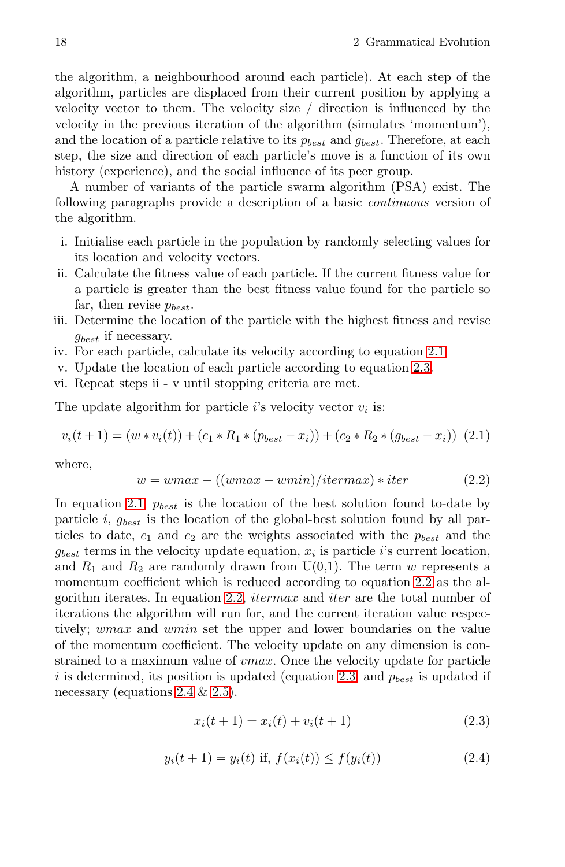the algorithm, a neighbourhood around each particle). At each step of the algorithm, particles are displaced from their current position by applying a velocity vector to them. The velocity size / direction is influenced by the velocity in the previous iteration of the algorithm (simulates 'momentum'), and the location of a particle relative to its p*best* and g*best*. Therefore, at each step, the size and direction of each particle's move is a function of its own history (experience), and the social influence of its peer group.

A number of variants of the particle swarm algorithm (PSA) exist. The following paragraphs provide a description of a basic continuous version of the algorithm.

- i. Initialise each particle in the population by randomly selecting values for its location and velocity vectors.
- ii. Calculate the fitness value of each particle. If the current fitness value for a particle is greater than the best fitness value found for the particle so far, then revise p*best*.
- iii. Determine the location of the particle with the highest fitness and revise g*best* if necessary.
- iv. For each particle, calculate its velocity according to equation 2.1.
- v. Update the location of each particle according to equation 2.3.
- vi. Repeat steps ii v until stopping criteria are met.

The update algorithm for particle *i*'s velocity vector  $v_i$  is:

$$
v_i(t+1) = (w * v_i(t)) + (c_1 * R_1 * (p_{best} - x_i)) + (c_2 * R_2 * (g_{best} - x_i)) (2.1)
$$

where,

$$
w = wmax - ((wmax - wmin)/itermax) * iter
$$
 (2.2)

In equation 2.1, p*best* is the location of the best solution found to-date by particle i, g*best* is the location of the global-best solution found by all particles to date,  $c_1$  and  $c_2$  are the weights associated with the  $p_{best}$  and the  $g_{best}$  terms in the velocity update equation,  $x_i$  is particle *i*'s current location, and  $R_1$  and  $R_2$  are randomly drawn from  $U(0,1)$ . The term w represents a momentum coefficient which is reduced according to equation 2.2 as the algorithm iterates. In equation 2.2, itermax and iter are the total number of iterations the algorithm will run for, and the current iteration value respectively; wmax and wmin set the upper and lower boundaries on the value of the momentum coefficient. The velocity update on any dimension is constrained to a maximum value of *vmax*. Once the velocity update for particle i is determined, its position is updated (equation 2.3, and p*best* is updated if necessary (equations  $2.4 \& 2.5$ ).

$$
x_i(t+1) = x_i(t) + v_i(t+1)
$$
\n(2.3)

$$
y_i(t+1) = y_i(t) \text{ if, } f(x_i(t)) \le f(y_i(t)) \tag{2.4}
$$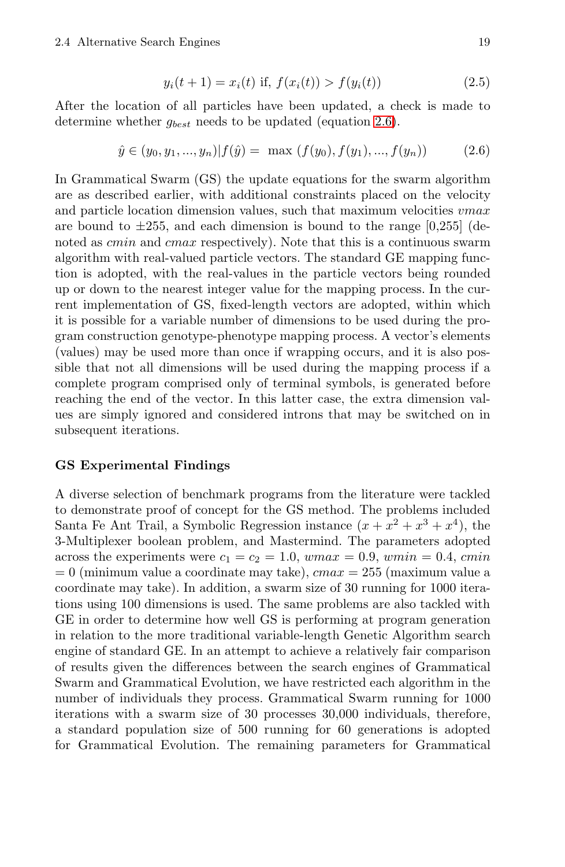$$
y_i(t+1) = x_i(t) \text{ if, } f(x_i(t)) > f(y_i(t)) \tag{2.5}
$$

After the location of all particles have been updated, a check is made to determine whether g*best* needs to be updated (equation 2.6).

$$
\hat{y} \in (y_0, y_1, ..., y_n) | f(\hat{y}) = \max(f(y_0), f(y_1), ..., f(y_n))
$$
\n(2.6)

In Grammatical Swarm (GS) the update equations for the swarm algorithm are as described earlier, with additional constraints placed on the velocity and particle location dimension values, such that maximum velocities *vmax* are bound to  $\pm 255$ , and each dimension is bound to the range  $[0,255]$  (denoted as *cmin* and *cmax* respectively). Note that this is a continuous swarm algorithm with real-valued particle vectors. The standard GE mapping function is adopted, with the real-values in the particle vectors being rounded up or down to the nearest integer value for the mapping process. In the current implementation of GS, fixed-length vectors are adopted, within which it is possible for a variable number of dimensions to be used during the program construction genotype-phenotype mapping process. A vector's elements (values) may be used more than once if wrapping occurs, and it is also possible that not all dimensions will be used during the mapping process if a complete program comprised only of terminal symbols, is generated before reaching the end of the vector. In this latter case, the extra dimension values are simply ignored and considered introns that may be switched on in subsequent iterations.

#### **GS Experimental Findings**

A diverse selection of benchmark programs from the literature were tackled to demonstrate proof of concept for the GS method. The problems included Santa Fe Ant Trail, a Symbolic Regression instance  $(x + x^2 + x^3 + x^4)$ , the 3-Multiplexer boolean problem, and Mastermind. The parameters adopted across the experiments were  $c_1 = c_2 = 1.0$ ,  $wmax = 0.9$ ,  $wmin = 0.4$ ,  $cmin$  $= 0$  (minimum value a coordinate may take),  $cmax = 255$  (maximum value a coordinate may take). In addition, a swarm size of 30 running for 1000 iterations using 100 dimensions is used. The same problems are also tackled with GE in order to determine how well GS is performing at program generation in relation to the more traditional variable-length Genetic Algorithm search engine of standard GE. In an attempt to achieve a relatively fair comparison of results given the differences between the search engines of Grammatical Swarm and Grammatical Evolution, we have restricted each algorithm in the number of individuals they process. Grammatical Swarm running for 1000 iterations with a swarm size of 30 processes 30,000 individuals, therefore, a standard population size of 500 running for 60 generations is adopted for Grammatical Evolution. The remaining parameters for Grammatical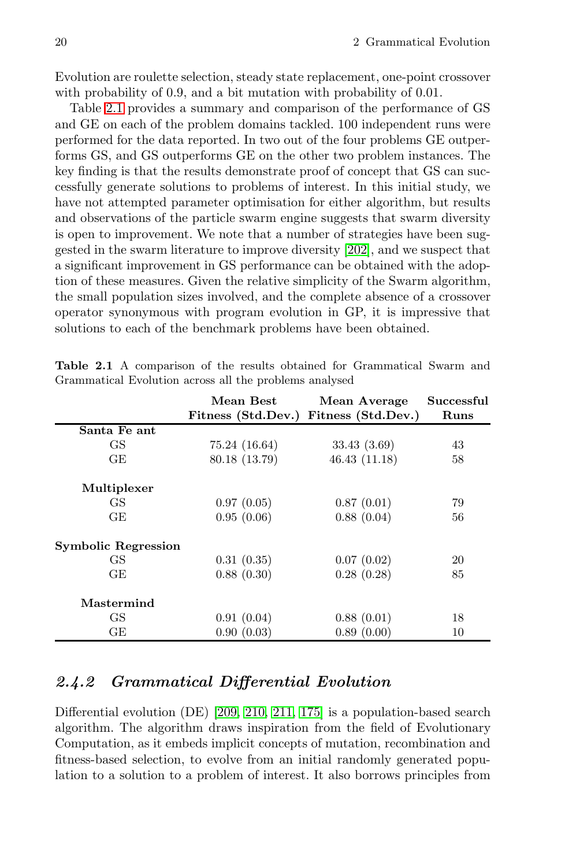Evolution are roulette selection, steady state replacement, one-point crossover with probability of 0.9, and a bit mutation with probability of 0.01.

Table 2.1 provides a summary and comparison of the performance of GS and GE on each of the problem domains tackled. 100 independent runs were performed for the data reported. In two out of the four problems GE outperforms GS, and GS outperforms GE on the other two problem instances. The key finding is that the results demonstrate proof of concept that GS can successfully generate solutions to problems of interest. In this initial study, we have not attempted parameter optimisation for either algorithm, but results and observations of the particle swarm engine suggests that swarm diversity is open to improvement. We note that a number of strategies have been suggested in the swarm literature to improve diversity [202], and we suspect that a significant improvement in GS performance can be obtained with the adoption of these measures. Given the relative simplicity of the Swarm algorithm, the small population sizes involved, and the complete absence of a crossover operator synonymous with program evolution in GP, it is impressive that solutions to each of the benchmark problems have been obtained.

|                            | Mean Best     | Mean Average                          | Successful |  |
|----------------------------|---------------|---------------------------------------|------------|--|
|                            |               | Fitness (Std.Dev.) Fitness (Std.Dev.) | Runs       |  |
| Santa Fe ant               |               |                                       |            |  |
| GS.                        | 75.24 (16.64) | 33.43(3.69)                           | 43         |  |
| GE                         | 80.18 (13.79) | 46.43(11.18)                          | 58         |  |
| Multiplexer                |               |                                       |            |  |
| GS                         | 0.97(0.05)    | 0.87(0.01)                            | 79         |  |
| GE                         | 0.95(0.06)    | 0.88(0.04)                            | 56         |  |
| <b>Symbolic Regression</b> |               |                                       |            |  |
| <b>GS</b>                  | 0.31(0.35)    | 0.07(0.02)                            | 20         |  |
| GE                         | 0.88(0.30)    | 0.28(0.28)                            | 85         |  |
| <b>Mastermind</b>          |               |                                       |            |  |
| GS                         | 0.91(0.04)    | 0.88(0.01)                            | 18         |  |
| GE                         | 0.90(0.03)    | 0.89(0.00)                            | 10         |  |

**Table 2.1** A comparison of the results obtained for Grammatical Swarm and Grammatical Evolution across all the problems analysed

### *2.4.2 Grammatical Differential Evolution*

Differential evolution (DE) [209, 210, 211, 175] is a population-based search algorithm. The algorithm draws inspiration from the field of Evolutionary Computation, as it embeds implicit concepts of mutation, recombination and fitness-based selection, to evolve from an initial randomly generated population to a solution to a problem of interest. It also borrows principles from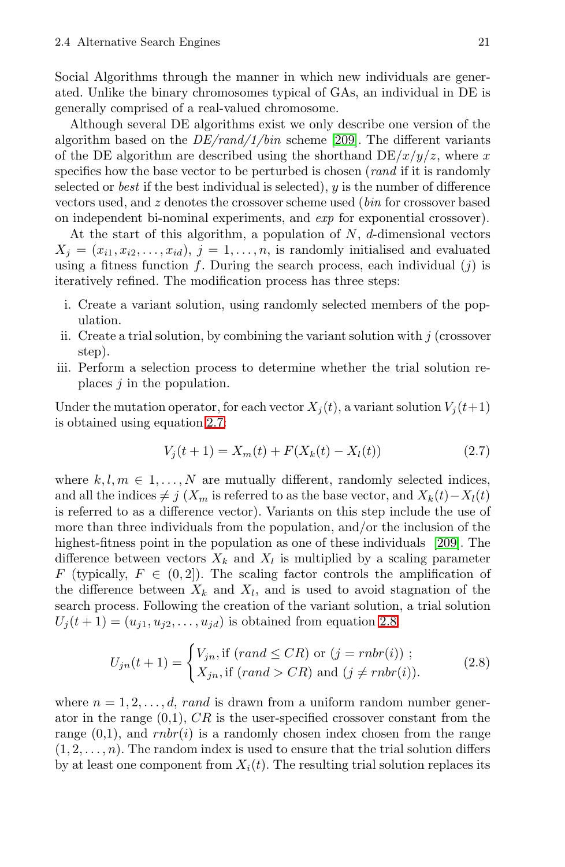Social Algorithms through the manner in which new individuals are generated. Unlike the binary chromosomes typical of GAs, an individual in DE is generally comprised of a real-valued chromosome.

Although several DE algorithms exist we only describe one version of the algorithm based on the  $DE/rand/1/bin$  scheme [209]. The different variants of the DE algorithm are described using the shorthand  $DE/x/y/z$ , where x specifies how the base vector to be perturbed is chosen (*rand* if it is randomly selected or *best* if the best individual is selected),  $y$  is the number of difference vectors used, and z denotes the crossover scheme used (bin for crossover based on independent bi-nominal experiments, and exp for exponential crossover).

At the start of this algorithm, a population of  $N$ ,  $d$ -dimensional vectors  $X_j = (x_{i1}, x_{i2}, \ldots, x_{id}), j = 1, \ldots, n$ , is randomly initialised and evaluated using a fitness function  $f$ . During the search process, each individual  $(j)$  is iteratively refined. The modification process has three steps:

- i. Create a variant solution, using randomly selected members of the population.
- ii. Create a trial solution, by combining the variant solution with  $j$  (crossover step).
- iii. Perform a selection process to determine whether the trial solution replaces  $j$  in the population.

Under the mutation operator, for each vector  $X_j(t)$ , a variant solution  $V_j(t+1)$ is obtained using equation 2.7:

$$
V_j(t+1) = X_m(t) + F(X_k(t) - X_l(t))
$$
\n(2.7)

where  $k, l, m \in 1, \ldots, N$  are mutually different, randomly selected indices, and all the indices  $\neq j$  ( $X_m$  is referred to as the base vector, and  $X_k(t) - X_l(t)$ is referred to as a difference vector). Variants on this step include the use of more than three individuals from the population, and/or the inclusion of the highest-fitness point in the population as one of these individuals [209]. The difference between vectors  $X_k$  and  $X_l$  is multiplied by a scaling parameter F (typically,  $F \in (0, 2]$ ). The scaling factor controls the amplification of the difference between  $X_k$  and  $X_l$ , and is used to avoid stagnation of the search process. Following the creation of the variant solution, a trial solution  $U_j(t + 1) = (u_{j1}, u_{j2}, \dots, u_{jd})$  is obtained from equation 2.8.

$$
U_{jn}(t+1) = \begin{cases} V_{jn}, \text{if } (rand \leq CR) \text{ or } (j = rnbr(i)) ;\\ X_{jn}, \text{if } (rand > CR) \text{ and } (j \neq rnbr(i)). \end{cases} \tag{2.8}
$$

where  $n = 1, 2, \ldots, d$ , rand is drawn from a uniform random number generator in the range  $(0,1)$ ,  $CR$  is the user-specified crossover constant from the range  $(0,1)$ , and rnbr(i) is a randomly chosen index chosen from the range  $(1, 2, \ldots, n)$ . The random index is used to ensure that the trial solution differs by at least one component from  $X_i(t)$ . The resulting trial solution replaces its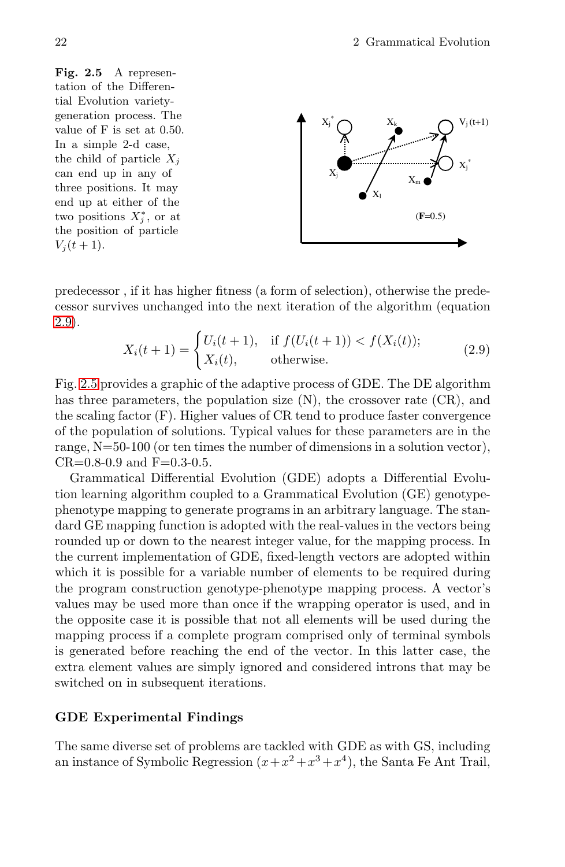**Fig. 2.5** A representation of the Differential Evolution varietygeneration process. The value of F is set at 0.50. In a simple 2-d case, the child of particle  $X_i$ can end up in any of three positions. It may end up at either of the two positions  $X_j^*$ , or at the position of particle  $V_j(t+1)$ .



predecessor , if it has higher fitness (a form of selection), otherwise the predecessor survives unchanged into the next iteration of the algorithm (equation 2.9).

$$
X_i(t+1) = \begin{cases} U_i(t+1), & \text{if } f(U_i(t+1)) < f(X_i(t)); \\ X_i(t), & \text{otherwise.} \end{cases} \tag{2.9}
$$

Fig. 2.5 provides a graphic of the adaptive process of GDE. The DE algorithm has three parameters, the population size  $(N)$ , the crossover rate  $(CR)$ , and the scaling factor (F). Higher values of CR tend to produce faster convergence of the population of solutions. Typical values for these parameters are in the range, N=50-100 (or ten times the number of dimensions in a solution vector),  $CR = 0.8 - 0.9$  and  $F = 0.3 - 0.5$ .

Grammatical Differential Evolution (GDE) adopts a Differential Evolution learning algorithm coupled to a Grammatical Evolution (GE) genotypephenotype mapping to generate programs in an arbitrary language. The standard GE mapping function is adopted with the real-values in the vectors being rounded up or down to the nearest integer value, for the mapping process. In the current implementation of GDE, fixed-length vectors are adopted within which it is possible for a variable number of elements to be required during the program construction genotype-phenotype mapping process. A vector's values may be used more than once if the wrapping operator is used, and in the opposite case it is possible that not all elements will be used during the mapping process if a complete program comprised only of terminal symbols is generated before reaching the end of the vector. In this latter case, the extra element values are simply ignored and considered introns that may be switched on in subsequent iterations.

#### **GDE Experimental Findings**

The same diverse set of problems are tackled with GDE as with GS, including an instance of Symbolic Regression  $(x+x^2+x^3+x^4)$ , the Santa Fe Ant Trail,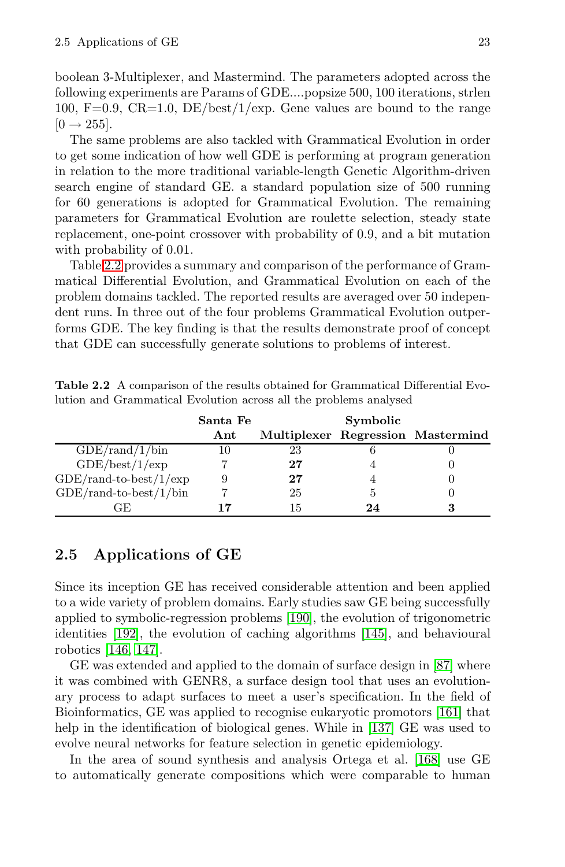boolean 3-Multiplexer, and Mastermind. The parameters adopted across the following experiments are Params of GDE....popsize 500, 100 iterations, strlen 100,  $F=0.9$ ,  $CR=1.0$ ,  $DE/best/1/exp$ . Gene values are bound to the range  $[0 \rightarrow 255]$ .

The same problems are also tackled with Grammatical Evolution in order to get some indication of how well GDE is performing at program generation in relation to the more traditional variable-length Genetic Algorithm-driven search engine of standard GE. a standard population size of 500 running for 60 generations is adopted for Grammatical Evolution. The remaining parameters for Grammatical Evolution are roulette selection, steady state replacement, one-point crossover with probability of 0.9, and a bit mutation with probability of  $0.01$ .

Table 2.2 provides a summary and comparison of the performance of Grammatical Differential Evolution, and Grammatical Evolution on each of the problem domains tackled. The reported results are averaged over 50 independent runs. In three out of the four problems Grammatical Evolution outperforms GDE. The key finding is that the results demonstrate proof of concept that GDE can successfully generate solutions to problems of interest.

|                          | Santa Fe | Symbolic |    |                                   |
|--------------------------|----------|----------|----|-----------------------------------|
|                          | Ant      |          |    | Multiplexer Regression Mastermind |
| GDE/rand/1/bin           |          | 23       |    |                                   |
| GDE/best/1/exp           |          | 27       |    |                                   |
| $GDE/rand-to-best/1/exp$ |          | 27       |    |                                   |
| $GDE/rand-to-best/1/bin$ |          | 25       |    |                                   |
| GE                       |          | 15       | 24 |                                   |

**Table 2.2** A comparison of the results obtained for Grammatical Differential Evolution and Grammatical Evolution across all the problems analysed

# **2.5 Applications of GE**

Since its inception GE has received considerable attention and been applied to a wide variety of problem domains. Early studies saw GE being successfully applied to symbolic-regression problems [190], the evolution of trigonometric identities [192], the evolution of caching algorithms [145], and behavioural robotics [146, 147].

GE was extended and applied to the domain of surface design in [87] where it was combined with GENR8, a surface design tool that uses an evolutionary process to adapt surfaces to meet a user's specification. In the field of Bioinformatics, GE was applied to recognise eukaryotic promotors [161] that help in the identification of biological genes. While in [137] GE was used to evolve neural networks for feature selection in genetic epidemiology.

In the area of sound synthesis and analysis Ortega et al. [168] use GE to automatically generate compositions which were comparable to human